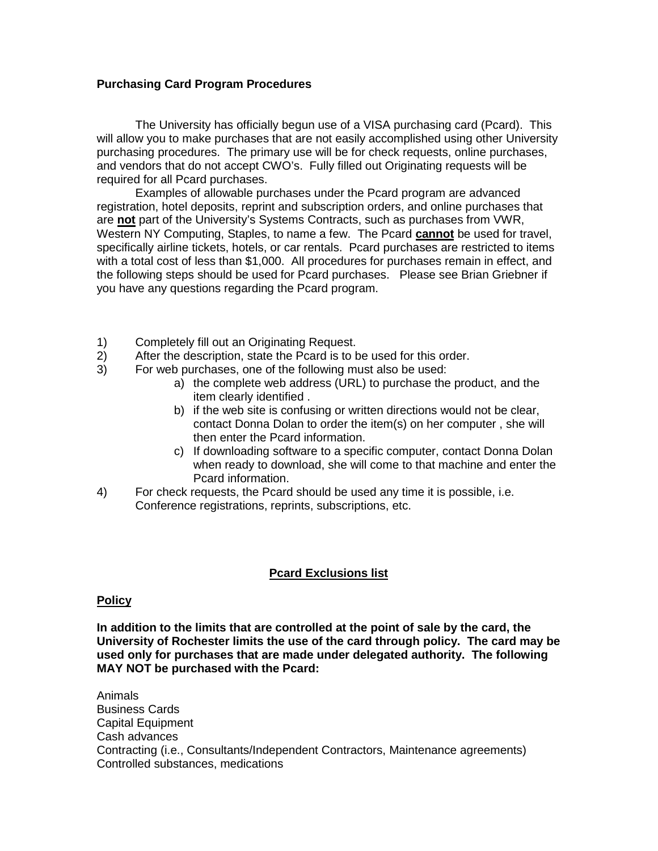## **Purchasing Card Program Procedures**

The University has officially begun use of a VISA purchasing card (Pcard). This will allow you to make purchases that are not easily accomplished using other University purchasing procedures. The primary use will be for check requests, online purchases, and vendors that do not accept CWO's. Fully filled out Originating requests will be required for all Pcard purchases.

Examples of allowable purchases under the Pcard program are advanced registration, hotel deposits, reprint and subscription orders, and online purchases that are **not** part of the University's Systems Contracts, such as purchases from VWR, Western NY Computing, Staples, to name a few. The Pcard **cannot** be used for travel, specifically airline tickets, hotels, or car rentals. Pcard purchases are restricted to items with a total cost of less than \$1,000. All procedures for purchases remain in effect, and the following steps should be used for Pcard purchases. Please see Brian Griebner if you have any questions regarding the Pcard program.

- 1) Completely fill out an Originating Request.
- 2) After the description, state the Pcard is to be used for this order.
- 3) For web purchases, one of the following must also be used:
	- a) the complete web address (URL) to purchase the product, and the item clearly identified .
	- b) if the web site is confusing or written directions would not be clear, contact Donna Dolan to order the item(s) on her computer , she will then enter the Pcard information.
	- c) If downloading software to a specific computer, contact Donna Dolan when ready to download, she will come to that machine and enter the Pcard information.
- 4) For check requests, the Pcard should be used any time it is possible, i.e. Conference registrations, reprints, subscriptions, etc.

## **Pcard Exclusions list**

## **Policy**

**In addition to the limits that are controlled at the point of sale by the card, the University of Rochester limits the use of the card through policy. The card may be used only for purchases that are made under delegated authority. The following MAY NOT be purchased with the Pcard:**

Animals Business Cards Capital Equipment Cash advances Contracting (i.e., Consultants/Independent Contractors, Maintenance agreements) Controlled substances, medications